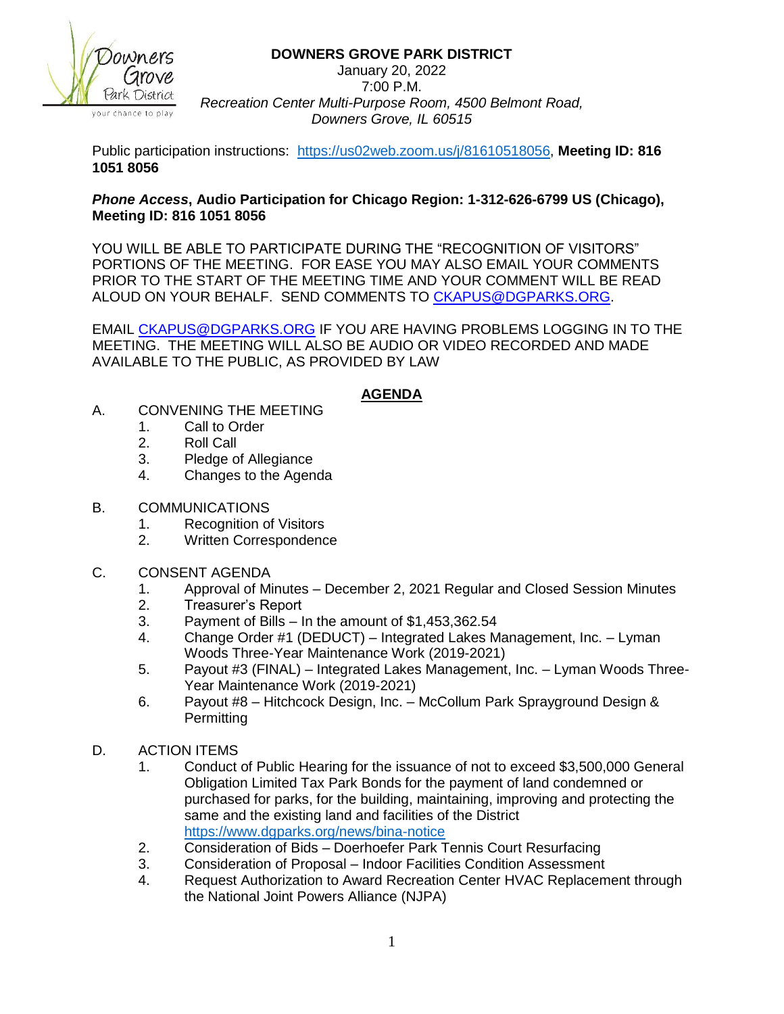**DOWNERS GROVE PARK DISTRICT**



January 20, 2022 7:00 P.M. *Recreation Center Multi-Purpose Room, 4500 Belmont Road, Downers Grove, IL 60515*

Public participation instructions: [https://us02web.zoom.us/j/81610518056,](https://us02web.zoom.us/j/81610518056) **Meeting ID: 816 1051 8056**

## *Phone Access***, Audio Participation for Chicago Region: 1-312-626-6799 US (Chicago), Meeting ID: 816 1051 8056**

YOU WILL BE ABLE TO PARTICIPATE DURING THE "RECOGNITION OF VISITORS" PORTIONS OF THE MEETING. FOR EASE YOU MAY ALSO EMAIL YOUR COMMENTS PRIOR TO THE START OF THE MEETING TIME AND YOUR COMMENT WILL BE READ ALOUD ON YOUR BEHALF. SEND COMMENTS TO [CKAPUS@DGPARKS.ORG.](mailto:CKAPUS@DGPARKS.ORG)

EMAIL [CKAPUS@DGPARKS.ORG](mailto:ckapus@dgparks.org) IF YOU ARE HAVING PROBLEMS LOGGING IN TO THE MEETING. THE MEETING WILL ALSO BE AUDIO OR VIDEO RECORDED AND MADE AVAILABLE TO THE PUBLIC, AS PROVIDED BY LAW

## **AGENDA**

- A. CONVENING THE MEETING
	- 1. Call to Order
	- 2. Roll Call
	- 3. Pledge of Allegiance
	- 4. Changes to the Agenda
- B. COMMUNICATIONS
	- 1. Recognition of Visitors
	- 2. Written Correspondence
- C. CONSENT AGENDA
	- 1. Approval of Minutes December 2, 2021 Regular and Closed Session Minutes
	- 2. Treasurer's Report
	- 3. Payment of Bills In the amount of \$1,453,362.54
	- 4. Change Order #1 (DEDUCT) Integrated Lakes Management, Inc. Lyman Woods Three-Year Maintenance Work (2019-2021)
	- 5. Payout #3 (FINAL) Integrated Lakes Management, Inc. Lyman Woods Three-Year Maintenance Work (2019-2021)
	- 6. Payout #8 Hitchcock Design, Inc. McCollum Park Sprayground Design & **Permitting**
- D. ACTION ITEMS
	- 1. Conduct of Public Hearing for the issuance of not to exceed \$3,500,000 General Obligation Limited Tax Park Bonds for the payment of land condemned or purchased for parks, for the building, maintaining, improving and protecting the same and the existing land and facilities of the District <https://www.dgparks.org/news/bina-notice>
	- 2. Consideration of Bids Doerhoefer Park Tennis Court Resurfacing
	- 3. Consideration of Proposal Indoor Facilities Condition Assessment
	- 4. Request Authorization to Award Recreation Center HVAC Replacement through the National Joint Powers Alliance (NJPA)